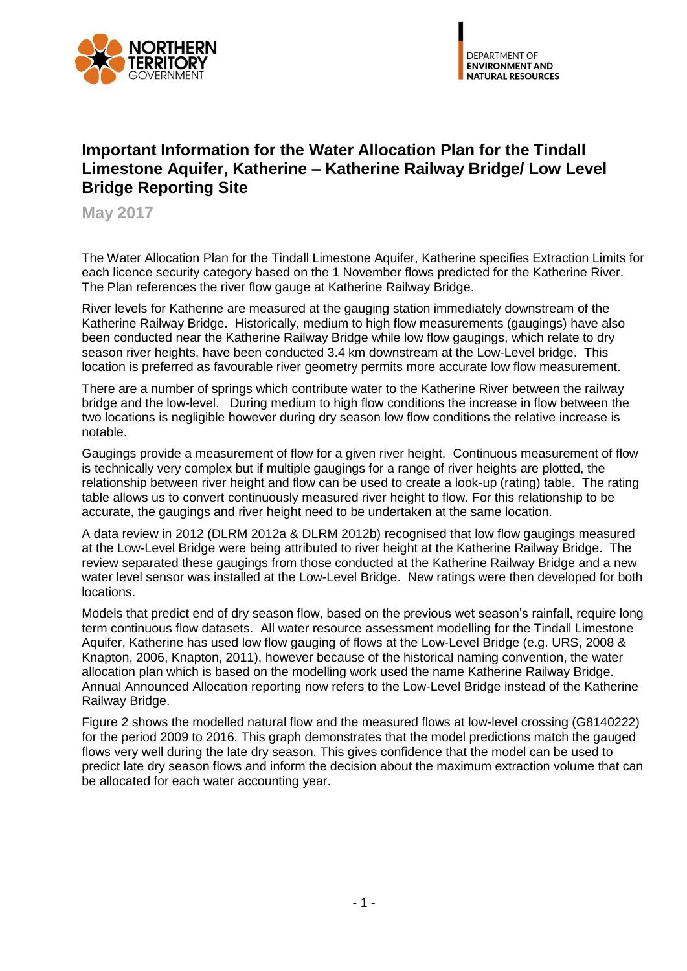

## **Important Information for the Water Allocation Plan for the Tindall Limestone Aquifer, Katherine – Katherine Railway Bridge/ Low Level Bridge Reporting Site**

**May 2017**

The Water Allocation Plan for the Tindall Limestone Aquifer, Katherine specifies Extraction Limits for each licence security category based on the 1 November flows predicted for the Katherine River. The Plan references the river flow gauge at Katherine Railway Bridge.

River levels for Katherine are measured at the gauging station immediately downstream of the Katherine Railway Bridge. Historically, medium to high flow measurements (gaugings) have also been conducted near the Katherine Railway Bridge while low flow gaugings, which relate to dry season river heights, have been conducted 3.4 km downstream at the Low-Level bridge. This location is preferred as favourable river geometry permits more accurate low flow measurement.

There are a number of springs which contribute water to the Katherine River between the railway bridge and the low-level. During medium to high flow conditions the increase in flow between the two locations is negligible however during dry season low flow conditions the relative increase is notable.

Gaugings provide a measurement of flow for a given river height. Continuous measurement of flow is technically very complex but if multiple gaugings for a range of river heights are plotted, the relationship between river height and flow can be used to create a look-up (rating) table. The rating table allows us to convert continuously measured river height to flow. For this relationship to be accurate, the gaugings and river height need to be undertaken at the same location.

A data review in 2012 (DLRM 2012a & DLRM 2012b) recognised that low flow gaugings measured at the Low-Level Bridge were being attributed to river height at the Katherine Railway Bridge. The review separated these gaugings from those conducted at the Katherine Railway Bridge and a new water level sensor was installed at the Low-Level Bridge. New ratings were then developed for both locations.

Models that predict end of dry season flow, based on the previous wet season's rainfall, require long term continuous flow datasets. All water resource assessment modelling for the Tindall Limestone Aquifer, Katherine has used low flow gauging of flows at the Low-Level Bridge (e.g. URS, 2008 & Knapton, 2006, Knapton, 2011), however because of the historical naming convention, the water allocation plan which is based on the modelling work used the name Katherine Railway Bridge. Annual Announced Allocation reporting now refers to the Low-Level Bridge instead of the Katherine Railway Bridge.

Figure 2 shows the modelled natural flow and the measured flows at low-level crossing (G8140222) for the period 2009 to 2016. This graph demonstrates that the model predictions match the gauged flows very well during the late dry season. This gives confidence that the model can be used to predict late dry season flows and inform the decision about the maximum extraction volume that can be allocated for each water accounting year.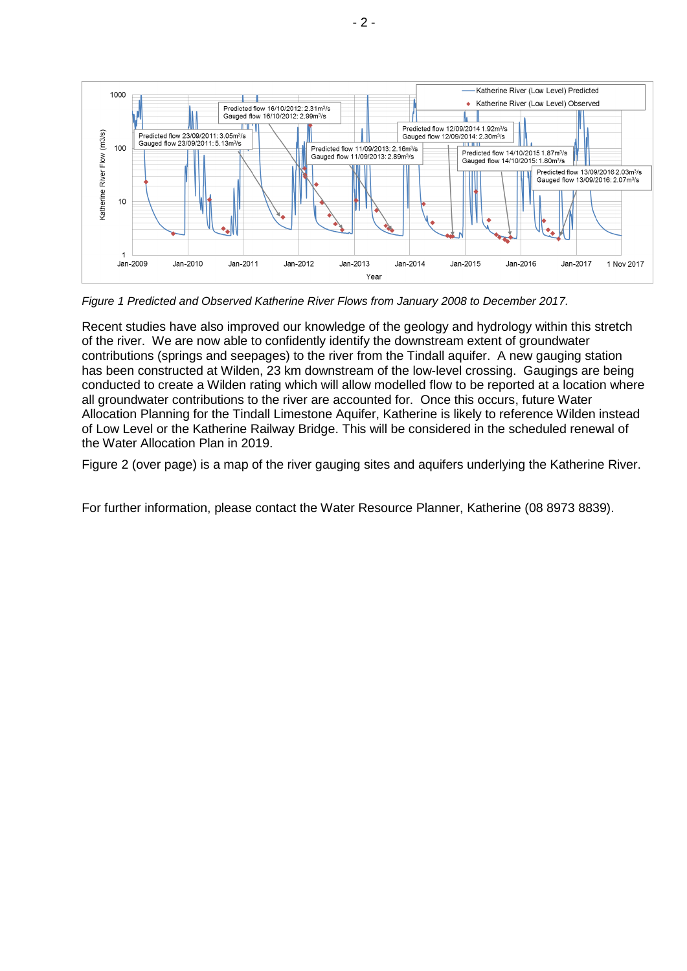

*Figure 1 Predicted and Observed Katherine River Flows from January 2008 to December 2017.*

Recent studies have also improved our knowledge of the geology and hydrology within this stretch of the river. We are now able to confidently identify the downstream extent of groundwater contributions (springs and seepages) to the river from the Tindall aquifer. A new gauging station has been constructed at Wilden, 23 km downstream of the low-level crossing. Gaugings are being conducted to create a Wilden rating which will allow modelled flow to be reported at a location where all groundwater contributions to the river are accounted for. Once this occurs, future Water Allocation Planning for the Tindall Limestone Aquifer, Katherine is likely to reference Wilden instead of Low Level or the Katherine Railway Bridge. This will be considered in the scheduled renewal of the Water Allocation Plan in 2019.

[Figure 2](#page-2-0) (over page) is a map of the river gauging sites and aquifers underlying the Katherine River.

For further information, please contact the Water Resource Planner, Katherine (08 8973 8839).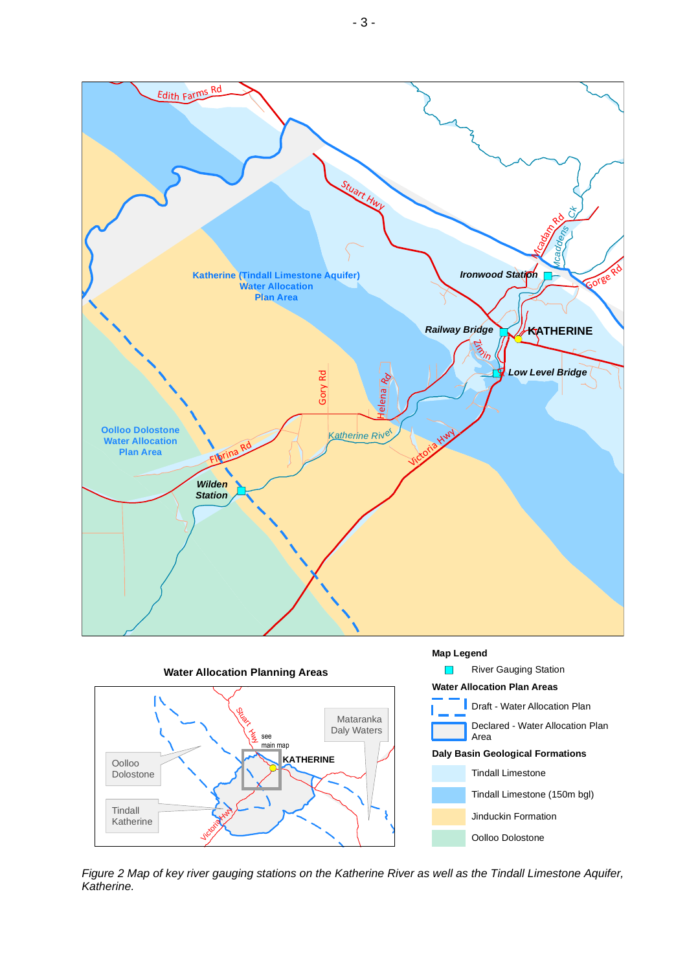

<span id="page-2-0"></span>*Figure 2 Map of key river gauging stations on the Katherine River as well as the Tindall Limestone Aquifer, Katherine.*